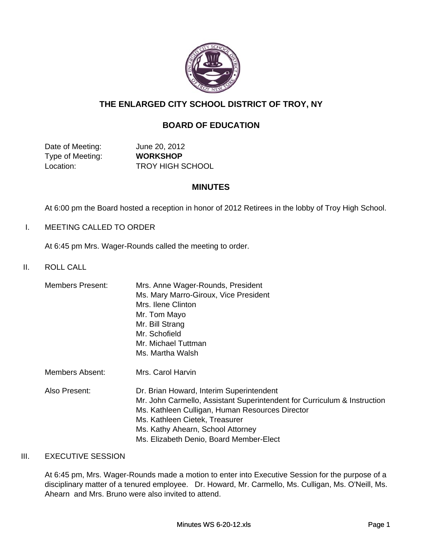

# **THE ENLARGED CITY SCHOOL DISTRICT OF TROY, NY**

# **BOARD OF EDUCATION**

Date of Meeting: June 20, 2012 Type of Meeting: **WORKSHOP** Location: TROY HIGH SCHOOL

## **MINUTES**

At 6:00 pm the Board hosted a reception in honor of 2012 Retirees in the lobby of Troy High School.

I. MEETING CALLED TO ORDER

At 6:45 pm Mrs. Wager-Rounds called the meeting to order.

II. ROLL CALL

| <b>Members Present:</b> | Mrs. Anne Wager-Rounds, President                                        |
|-------------------------|--------------------------------------------------------------------------|
|                         | Ms. Mary Marro-Giroux, Vice President                                    |
|                         | Mrs. Ilene Clinton                                                       |
|                         | Mr. Tom Mayo                                                             |
|                         | Mr. Bill Strang                                                          |
|                         | Mr. Schofield                                                            |
|                         | Mr. Michael Tuttman                                                      |
|                         | Ms. Martha Walsh                                                         |
| Members Absent:         | Mrs. Carol Harvin                                                        |
| Also Present:           | Dr. Brian Howard, Interim Superintendent                                 |
|                         | Mr. John Carmello, Assistant Superintendent for Curriculum & Instruction |
|                         | Ms. Kathleen Culligan, Human Resources Director                          |
|                         | Ms. Kathleen Cietek, Treasurer                                           |
|                         | Ms. Kathy Ahearn, School Attorney                                        |
|                         | Ms. Elizabeth Denio, Board Member-Elect                                  |

## III. EXECUTIVE SESSION

At 6:45 pm, Mrs. Wager-Rounds made a motion to enter into Executive Session for the purpose of a disciplinary matter of a tenured employee. Dr. Howard, Mr. Carmello, Ms. Culligan, Ms. O'Neill, Ms. Ahearn and Mrs. Bruno were also invited to attend.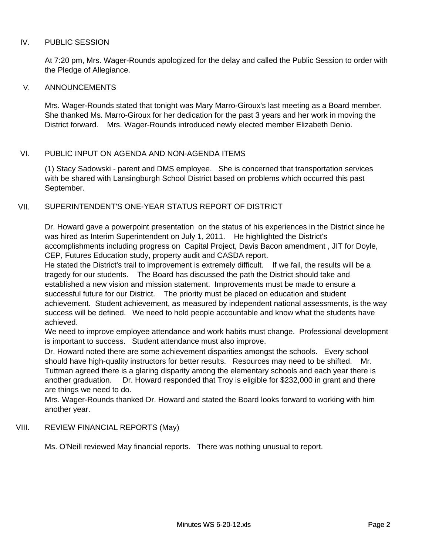## IV. PUBLIC SESSION

At 7:20 pm, Mrs. Wager-Rounds apologized for the delay and called the Public Session to order with the Pledge of Allegiance.

#### V. ANNOUNCEMENTS

Mrs. Wager-Rounds stated that tonight was Mary Marro-Giroux's last meeting as a Board member. She thanked Ms. Marro-Giroux for her dedication for the past 3 years and her work in moving the District forward. Mrs. Wager-Rounds introduced newly elected member Elizabeth Denio.

## VI. PUBLIC INPUT ON AGENDA AND NON-AGENDA ITEMS

(1) Stacy Sadowski - parent and DMS employee. She is concerned that transportation services with be shared with Lansingburgh School District based on problems which occurred this past September.

#### VII. SUPERINTENDENT'S ONE-YEAR STATUS REPORT OF DISTRICT

Dr. Howard gave a powerpoint presentation on the status of his experiences in the District since he was hired as Interim Superintendent on July 1, 2011. He highlighted the District's accomplishments including progress on Capital Project, Davis Bacon amendment , JIT for Doyle, CEP, Futures Education study, property audit and CASDA report.

He stated the District's trail to improvement is extremely difficult. If we fail, the results will be a tragedy for our students. The Board has discussed the path the District should take and established a new vision and mission statement. Improvements must be made to ensure a successful future for our District. The priority must be placed on education and student achievement. Student achievement, as measured by independent national assessments, is the way success will be defined. We need to hold people accountable and know what the students have achieved.

We need to improve employee attendance and work habits must change. Professional development is important to success. Student attendance must also improve.

Dr. Howard noted there are some achievement disparities amongst the schools. Every school should have high-quality instructors for better results. Resources may need to be shifted. Mr. Tuttman agreed there is a glaring disparity among the elementary schools and each year there is another graduation. Dr. Howard responded that Troy is eligible for \$232,000 in grant and there are things we need to do.

Mrs. Wager-Rounds thanked Dr. Howard and stated the Board looks forward to working with him another year.

## VIII. REVIEW FINANCIAL REPORTS (May)

Ms. O'Neill reviewed May financial reports. There was nothing unusual to report.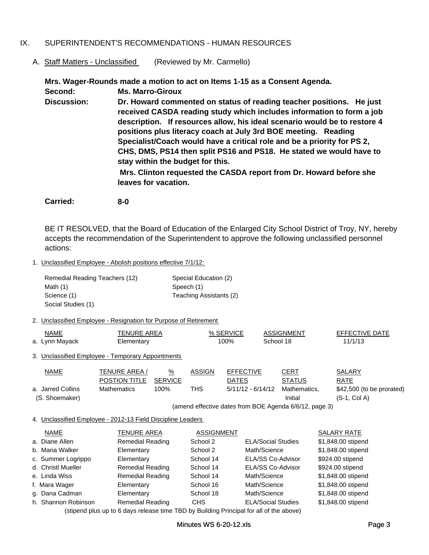#### IX. SUPERINTENDENT'S RECOMMENDATIONS - HUMAN RESOURCES

#### A. Staff Matters - Unclassified (Reviewed by Mr. Carmello)

**Mrs. Wager-Rounds made a motion to act on Items 1-15 as a Consent Agenda. Second: Ms. Marro-Giroux Mrs. Clinton requested the CASDA report from Dr. Howard before she leaves for vacation. Dr. Howard commented on status of reading teacher positions. He just received CASDA reading study which includes information to form a job description. If resources allow, his ideal scenario would be to restore 4 positions plus literacy coach at July 3rd BOE meeting. Reading Specialist/Coach would have a critical role and be a priority for PS 2, CHS, DMS, PS14 then split PS16 and PS18. He stated we would have to stay within the budget for this. Discussion:**

**Carried: 8-0**

BE IT RESOLVED, that the Board of Education of the Enlarged City School District of Troy, NY, hereby accepts the recommendation of the Superintendent to approve the following unclassified personnel actions:

1. Unclassified Employee - Abolish positions effective 7/1/12:

| Remedial Reading Teachers (12) | Special Education (2)   |
|--------------------------------|-------------------------|
| Math $(1)$                     | Speech (1)              |
| Science (1)                    | Teaching Assistants (2) |
| Social Studies (1)             |                         |

#### 2. Unclassified Employee - Resignation for Purpose of Retirement

| NAME<br><u> London and Communication and Communication and Communication and Communication and Communication and Communication and Communication and Communication and Communication and Communication and Communication and Communicati</u> | TENURE AREA | % SERVICE | ASSIGNMENT | <b>FFFFCTIVE DATE</b> |
|----------------------------------------------------------------------------------------------------------------------------------------------------------------------------------------------------------------------------------------------|-------------|-----------|------------|-----------------------|
| a. Lynn Mayack                                                                                                                                                                                                                               | :Iementarv  | $00\%$    | School 18  | 11/1/13               |

3. Unclassified Employee - Temporary Appointments

| <u>NAME</u>       | TENURE AREA /                                          | $\frac{9}{6}$ | <b>ASSIGN</b> | <b>EFFECTIVE</b>    | CERT          | <b>SALARY</b>             |
|-------------------|--------------------------------------------------------|---------------|---------------|---------------------|---------------|---------------------------|
|                   | <b>POSTION TITLE</b>                                   | SERVICE       |               | <b>DATES</b>        | <b>STATUS</b> | RATE                      |
| a. Jarred Collins | Mathematics                                            | 100%          | THS           | $5/11/12 - 6/14/12$ | Mathematics.  | \$42,500 (to be prorated) |
| (S. Shoemaker)    |                                                        |               |               |                     | Initial       | $(S-1, Col A)$            |
|                   | (amend effective dates from BOE Agenda 6/6/12, page 3) |               |               |                     |               |                           |

#### 4. Unclassified Employee - 2012-13 Field Discipline Leaders

| <b>NAME</b>         | <b>TENURE AREA</b>      | <b>ASSIGNMENT</b> |                           | <b>SALARY RATE</b> |
|---------------------|-------------------------|-------------------|---------------------------|--------------------|
| a. Diane Allen      | <b>Remedial Reading</b> | School 2          | <b>ELA/Social Studies</b> | \$1,848.00 stipend |
| b. Maria Walker     | Elementary              | School 2          | Math/Science              | \$1,848.00 stipend |
| c. Summer Logrippo  | Elementary              | School 14         | ELA/SS Co-Advisor         | \$924.00 stipend   |
| d. Christl Mueller  | <b>Remedial Reading</b> | School 14         | ELA/SS Co-Advisor         | \$924.00 stipend   |
| e. Linda Wiss       | <b>Remedial Reading</b> | School 14         | Math/Science              | \$1,848.00 stipend |
| f. Mara Wager       | Elementary              | School 16         | Math/Science              | \$1,848.00 stipend |
| g. Dana Cadman      | Elementary              | School 18         | Math/Science              | \$1,848.00 stipend |
| h. Shannon Robinson | <b>Remedial Reading</b> | <b>CHS</b>        | <b>ELA/Social Studies</b> | \$1,848.00 stipend |
|                     |                         |                   |                           |                    |

(stipend plus up to 6 days release time TBD by Building Principal for all of the above)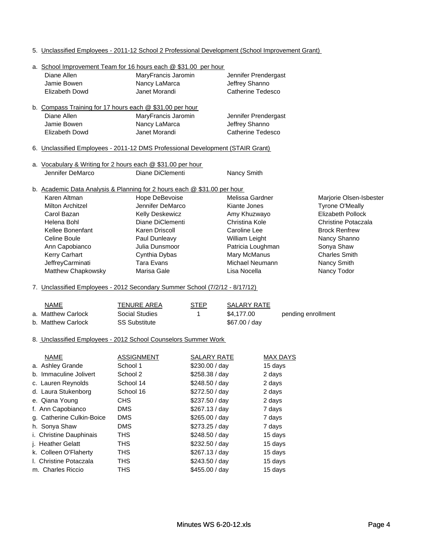- 5. Unclassified Employees 2011-12 School 2 Professional Development (School Improvement Grant)
- a. School Improvement Team for 16 hours each @ \$31.00 per hour Diane Allen MaryFrancis Jaromin Jennifer Prendergast Jamie Bowen Nancy LaMarca Jeffrey Shanno Elizabeth Dowd Janet Morandi Catherine Tedesco b. Compass Training for 17 hours each @ \$31.00 per hour Diane Allen MaryFrancis Jaromin Jennifer Prendergast Jamie Bowen Nancy LaMarca Jeffrey Shanno Elizabeth Dowd Janet Morandi Catherine Tedesco 6. Unclassified Employees - 2011-12 DMS Professional Development (STAIR Grant) a. Vocabulary & Writing for 2 hours each @ \$31.00 per hour Jennifer DeMarco **Diane DiClementi** Nancy Smith b. Academic Data Analysis & Planning for 2 hours each @ \$31.00 per hour Karen Altman **Marjorie Bebevoise** Melissa Gardner Melissa Gardner Marjorie Olsen-Isbester Milton Architzel **State Gemeen Communist Communist Communist Communist Communist Communist Communist Communist Communist Communist Communist Communist Communist Communist Communist Communist Communist Communist Communist C** Carol Bazan **Kelly Deskewicz** Amy Khuzwayo **Elizabeth Pollock** Helena Bohl Diane DiClementi Christina Kole Christine Potaczala Kellee Bonenfant **Karen Driscoll** Caroline Lee **Brock Renfrew** Celine Boule **Paul Dunleavy Paul Dunleavy** William Leight Nancy Shanno Ann Capobianco Julia Dunsmoor Patricia Loughman Sonya Shaw Kerry Carhart Cynthia Dybas Mary McManus Charles Smith JeffreyCarminati Tara Evans Michael Neumann Nancy Smith Matthew Chapkowsky Marisa Gale **Nancy Todor** Lisa Nocella Nancy Todor 7. Unclassified Employees - 2012 Secondary Summer School (7/2/12 - 8/17/12) NAME TENURE AREA STEP SALARY RATE a. Matthew Carlock **Social Studies** 1 54,177.00 pending enrollment b. Matthew Carlock SS Substitute  $$67.00 / day$ 8. Unclassified Employees - 2012 School Counselors Summer Work NAME ASSIGNMENT SALARY RATE MAX DAYS

| .                              | .          | -----------    | .       |
|--------------------------------|------------|----------------|---------|
| a. Ashley Grande               | School 1   | \$230.00 / day | 15 days |
| b. Immaculine Jolivert         | School 2   | \$258.38 / day | 2 days  |
| c. Lauren Reynolds             | School 14  | \$248.50 / day | 2 days  |
| d. Laura Stukenborg            | School 16  | \$272.50 / day | 2 days  |
| e. Qiana Young                 | CHS.       | \$237.50 / day | 2 days  |
| f. Ann Capobianco              | <b>DMS</b> | \$267.13 / day | 7 days  |
| g. Catherine Culkin-Boice      | <b>DMS</b> | \$265.00 / day | 7 days  |
| h. Sonya Shaw                  | <b>DMS</b> | \$273.25 / day | 7 days  |
| <i>i.</i> Christine Dauphinais | <b>THS</b> | \$248.50 / day | 15 days |
| j. Heather Gelatt              | <b>THS</b> | \$232.50 / day | 15 days |
| k. Colleen O'Flaherty          | <b>THS</b> | \$267.13 / day | 15 days |
| I. Christine Potaczala         | <b>THS</b> | \$243.50 / day | 15 days |
| m. Charles Riccio              | THS        | \$455.00 / day | 15 days |
|                                |            |                |         |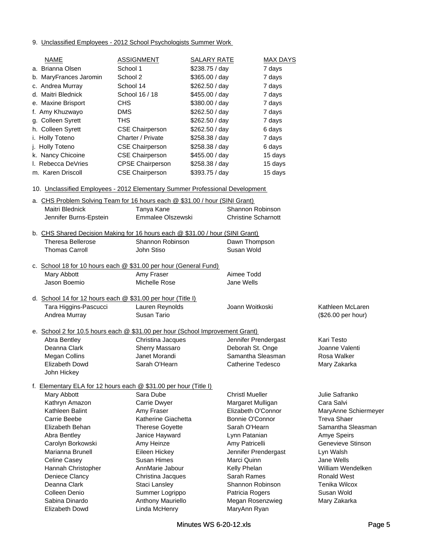9. Unclassified Employees - 2012 School Psychologists Summer Work

| <b>NAME</b>                                                                   | <b>ASSIGNMENT</b>       | <b>SALARY RATE</b> | MAX DAYS                   |                      |
|-------------------------------------------------------------------------------|-------------------------|--------------------|----------------------------|----------------------|
| a. Brianna Olsen                                                              | School 1                | \$238.75 / day     | 7 days                     |                      |
| b. MaryFrances Jaromin                                                        | School 2                | \$365.00 / day     | 7 days                     |                      |
| c. Andrea Murray                                                              | School 14               | \$262.50 / day     | 7 days                     |                      |
| d. Maitri Blednick                                                            | School 16 / 18          | \$455.00 / day     | 7 days                     |                      |
| e. Maxine Brisport                                                            | <b>CHS</b>              | \$380.00 / day     | 7 days                     |                      |
| f. Amy Khuzwayo                                                               | <b>DMS</b>              | \$262.50 / day     | 7 days                     |                      |
| g. Colleen Syrett                                                             | <b>THS</b>              | \$262.50 / day     | 7 days                     |                      |
| h. Colleen Syrett                                                             | <b>CSE Chairperson</b>  | \$262.50 / day     | 6 days                     |                      |
| i. Holly Toteno                                                               | Charter / Private       | \$258.38 / day     | 7 days                     |                      |
| i. Holly Toteno                                                               | <b>CSE Chairperson</b>  | \$258.38 / day     | 6 days                     |                      |
| k. Nancy Chicoine                                                             | <b>CSE Chairperson</b>  | \$455.00 / day     | 15 days                    |                      |
| I. Rebecca DeVries                                                            | <b>CPSE Chairperson</b> | \$258.38 / day     | 15 days                    |                      |
| m. Karen Driscoll                                                             | <b>CSE Chairperson</b>  | \$393.75 / day     | 15 days                    |                      |
|                                                                               |                         |                    |                            |                      |
| 10. Unclassified Employees - 2012 Elementary Summer Professional Development  |                         |                    |                            |                      |
| a. CHS Problem Solving Team for 16 hours each @ \$31.00 / hour (SINI Grant)   |                         |                    |                            |                      |
| Maitri Blednick                                                               | Tanya Kane              |                    | Shannon Robinson           |                      |
| Jennifer Burns-Epstein                                                        | Emmalee Olszewski       |                    | <b>Christine Scharnott</b> |                      |
| b. CHS Shared Decision Making for 16 hours each @ \$31.00 / hour (SINI Grant) |                         |                    |                            |                      |
| <b>Theresa Bellerose</b>                                                      | Shannon Robinson        |                    | Dawn Thompson              |                      |
| <b>Thomas Carroll</b>                                                         | John Stiso              |                    | Susan Wold                 |                      |
|                                                                               |                         |                    |                            |                      |
| c. School 18 for 10 hours each @ \$31.00 per hour (General Fund)              |                         |                    |                            |                      |
| Mary Abbott                                                                   | Amy Fraser              |                    | Aimee Todd                 |                      |
| Jason Boemio                                                                  | Michelle Rose           |                    | Jane Wells                 |                      |
| d. School 14 for 12 hours each @ \$31.00 per hour (Title I)                   |                         |                    |                            |                      |
| Tara Higgins-Pascucci                                                         | Lauren Reynolds         |                    | Joann Woitkoski            | Kathleen McLaren     |
| Andrea Murray                                                                 | Susan Tario             |                    |                            | (\$26.00 per hour)   |
| e. School 2 for 10.5 hours each @ \$31.00 per hour (School Improvement Grant) |                         |                    |                            |                      |
| Abra Bentley                                                                  | Christina Jacques       |                    | Jennifer Prendergast       | Kari Testo           |
| Deanna Clark                                                                  | Sherry Massaro          |                    | Deborah St. Onge           | Joanne Valenti       |
| <b>Megan Collins</b>                                                          | Janet Morandi           |                    | Samantha Sleasman          | Rosa Walker          |
| <b>Elizabeth Dowd</b>                                                         | Sarah O'Hearn           |                    | Catherine Tedesco          | Mary Zakarka         |
| John Hickey                                                                   |                         |                    |                            |                      |
| f. Elementary ELA for 12 hours each @ \$31.00 per hour (Title I)              |                         |                    |                            |                      |
| Mary Abbott                                                                   | Sara Dube               |                    | <b>ChristI Mueller</b>     | Julie Safranko       |
| Kathryn Amazon                                                                | Carrie Dwyer            |                    | Margaret Mulligan          | Cara Salvi           |
| Kathleen Balint                                                               | Amy Fraser              |                    | Elizabeth O'Connor         | MaryAnne Schiermeyer |
| Carrie Beebe                                                                  | Katherine Giachetta     |                    | Bonnie O'Connor            | <b>Treva Shaer</b>   |
| Elizabeth Behan                                                               | <b>Therese Goyette</b>  |                    | Sarah O'Hearn              | Samantha Sleasman    |
| Abra Bentley                                                                  | Janice Hayward          |                    | Lynn Patanian              | Amye Speirs          |
| Carolyn Borkowski                                                             | Amy Heinze              |                    | Amy Patricelli             | Genevieve Stinson    |
| Marianna Brunell                                                              | Eileen Hickey           |                    | Jennifer Prendergast       | Lyn Walsh            |
| Celine Casey                                                                  | Susan Himes             |                    | Marci Quinn                | Jane Wells           |
| Hannah Christopher                                                            | AnnMarie Jabour         |                    | Kelly Phelan               | William Wendelken    |
| Deniece Clancy                                                                | Christina Jacques       |                    | Sarah Rames                | <b>Ronald West</b>   |
| Deanna Clark                                                                  | Staci Lansley           |                    | Shannon Robinson           | Tenika Wilcox        |
| Colleen Denio                                                                 | Summer Logrippo         |                    | Patricia Rogers            | Susan Wold           |
| Sabina Dinardo                                                                | Anthony Mauriello       |                    | Megan Rosenzwieg           | Mary Zakarka         |
| Elizabeth Dowd                                                                | Linda McHenry           |                    | MaryAnn Ryan               |                      |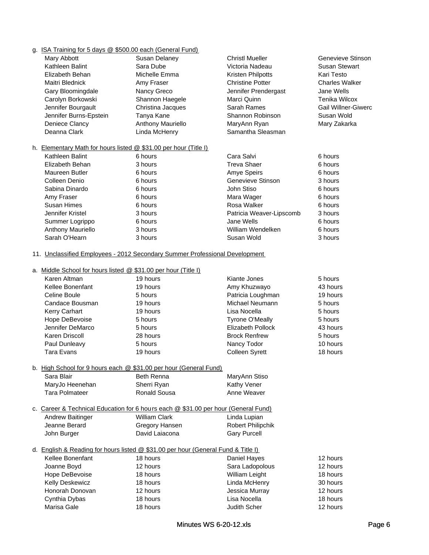g. ISA Training for 5 days @ \$500.00 each (General Fund)

| Mary Abbott                                                      | Susan Delaney     | <b>Christl Mueller</b>  | Genevieve Stinson          |
|------------------------------------------------------------------|-------------------|-------------------------|----------------------------|
| Kathleen Balint                                                  | Sara Dube         | Victoria Nadeau         | <b>Susan Stewart</b>       |
| Elizabeth Behan                                                  | Michelle Emma     | Kristen Philpotts       | Kari Testo                 |
| Maitri Blednick                                                  | Amy Fraser        | <b>Christine Potter</b> | <b>Charles Walker</b>      |
| Gary Bloomingdale                                                | Nancy Greco       | Jennifer Prendergast    | Jane Wells                 |
| Carolyn Borkowski                                                | Shannon Haegele   | Marci Quinn             | Tenika Wilcox              |
| Jennifer Bourgault                                               | Christina Jacques | Sarah Rames             | <b>Gail Willner-Giwerd</b> |
| Jennifer Burns-Epstein                                           | Tanya Kane        | Shannon Robinson        | Susan Wold                 |
| Deniece Clancy                                                   | Anthony Mauriello | MaryAnn Ryan            | Mary Zakarka               |
| Deanna Clark                                                     | Linda McHenry     | Samantha Sleasman       |                            |
| h. Elementary Math for hours listed @ \$31.00 per hour (Title I) |                   |                         |                            |
| Kathleen Balint                                                  | 6 hours           | Cara Salvi              | 6 hours                    |
| Elizabeth Behan                                                  | 3 hours           | Treva Shaer             | 6 hours                    |
|                                                                  |                   |                         |                            |

| Elizabeth Denan          | 3 HUUIS | Tieva Əlidel             | <b>DILOUIS</b> |
|--------------------------|---------|--------------------------|----------------|
| <b>Maureen Butler</b>    | 6 hours | <b>Amye Speirs</b>       | 6 hours        |
| Colleen Denio            | 6 hours | Genevieve Stinson        | 3 hours        |
| Sabina Dinardo           | 6 hours | John Stiso               | 6 hours        |
| Amy Fraser               | 6 hours | Mara Wager               | 6 hours        |
| Susan Himes              | 6 hours | Rosa Walker              | 6 hours        |
| Jennifer Kristel         | 3 hours | Patricia Weaver-Lipscomb | 3 hours        |
| Summer Logrippo          | 6 hours | Jane Wells               | 6 hours        |
| <b>Anthony Mauriello</b> | 3 hours | William Wendelken        | 6 hours        |
| Sarah O'Hearn            | 3 hours | Susan Wold               | 3 hours        |
|                          |         |                          |                |

#### 11. Unclassified Employees - 2012 Secondary Summer Professional Development

#### a. Middle School for hours listed @ \$31.00 per hour (Title I)

| Karen Altman         | 19 hours | Kiante Jones           | 5 hours  |
|----------------------|----------|------------------------|----------|
| Kellee Bonenfant     | 19 hours | Amy Khuzwayo           | 43 hours |
| Celine Boule         | 5 hours  | Patricia Loughman      | 19 hours |
| Candace Bousman      | 19 hours | Michael Neumann        | 5 hours  |
| <b>Kerry Carhart</b> | 19 hours | Lisa Nocella           | 5 hours  |
| Hope DeBevoise       | 5 hours  | <b>Tyrone O'Meally</b> | 5 hours  |
| Jennifer DeMarco     | 5 hours  | Elizabeth Pollock      | 43 hours |
| Karen Driscoll       | 28 hours | <b>Brock Renfrew</b>   | 5 hours  |
| Paul Dunleavy        | 5 hours  | Nancy Todor            | 10 hours |
| Tara Evans           | 19 hours | <b>Colleen Syrett</b>  | 18 hours |
|                      |          |                        |          |

#### b. High School for 9 hours each @ \$31.00 per hour (General Fund)

| Sara Blair      | <b>Beth Renna</b> | MaryAnn Stiso |
|-----------------|-------------------|---------------|
| MaryJo Heenehan | Sherri Ryan       | Kathy Vener   |
| Tara Polmateer  | Ronald Sousa      | Anne Weaver   |

| c. Career & Technical Education for 6 hours each @ \$31.00 per hour (General Fund) |                      |                          |
|------------------------------------------------------------------------------------|----------------------|--------------------------|
| Andrew Baitinger                                                                   | <b>William Clark</b> | Linda Lupian             |
| Jeanne Berard                                                                      | Gregory Hansen       | <b>Robert Philipchik</b> |
| John Burger                                                                        | David Laiacona       | <b>Gary Purcell</b>      |
|                                                                                    |                      |                          |

| d. English & Reading for hours listed @ \$31.00 per hour (General Fund & Title I) |          |                     |          |
|-----------------------------------------------------------------------------------|----------|---------------------|----------|
| Kellee Bonenfant                                                                  | 18 hours | Daniel Hayes        | 12 hours |
| Joanne Boyd                                                                       | 12 hours | Sara Ladopolous     | 12 hours |
| Hope DeBevoise                                                                    | 18 hours | William Leight      | 18 hours |
| <b>Kelly Deskewicz</b>                                                            | 18 hours | Linda McHenry       | 30 hours |
| Honorah Donovan                                                                   | 12 hours | Jessica Murray      | 12 hours |
| Cynthia Dybas                                                                     | 18 hours | Lisa Nocella        | 18 hours |
| Marisa Gale                                                                       | 18 hours | <b>Judith Scher</b> | 12 hours |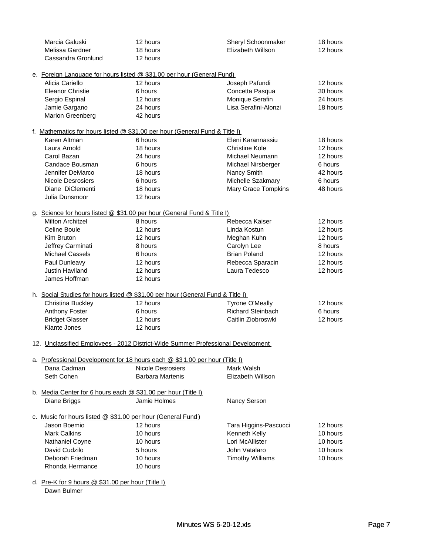| Marcia Galuski                                                                  | 12 hours                | Sheryl Schoonmaker         | 18 hours |
|---------------------------------------------------------------------------------|-------------------------|----------------------------|----------|
| Melissa Gardner                                                                 | 18 hours                | Elizabeth Willson          | 12 hours |
| Cassandra Gronlund                                                              | 12 hours                |                            |          |
|                                                                                 |                         |                            |          |
| e. Foreign Language for hours listed @ \$31.00 per hour (General Fund)          |                         |                            |          |
| Alicia Cariello                                                                 | 12 hours                | Joseph Pafundi             | 12 hours |
| <b>Eleanor Christie</b>                                                         | 6 hours                 | Concetta Pasqua            | 30 hours |
| Sergio Espinal                                                                  | 12 hours                | Monique Serafin            | 24 hours |
| Jamie Gargano                                                                   | 24 hours                | Lisa Serafini-Alonzi       | 18 hours |
| Marion Greenberg                                                                | 42 hours                |                            |          |
| f. Mathematics for hours listed @ \$31.00 per hour (General Fund & Title I)     |                         |                            |          |
| Karen Altman                                                                    | 6 hours                 | Eleni Karannassiu          | 18 hours |
| Laura Arnold                                                                    | 18 hours                | <b>Christine Kole</b>      | 12 hours |
| Carol Bazan                                                                     | 24 hours                | <b>Michael Neumann</b>     | 12 hours |
| Candace Bousman                                                                 | 6 hours                 | Michael Nirsberger         | 6 hours  |
| Jennifer DeMarco                                                                | 18 hours                | Nancy Smith                | 42 hours |
| <b>Nicole Desrosiers</b>                                                        | 6 hours                 | Michelle Szakmary          | 6 hours  |
| Diane DiClementi                                                                | 18 hours                | <b>Mary Grace Tompkins</b> | 48 hours |
| Julia Dunsmoor                                                                  | 12 hours                |                            |          |
|                                                                                 |                         |                            |          |
| g. Science for hours listed @ \$31.00 per hour (General Fund & Title I)         |                         |                            |          |
| Milton Architzel                                                                | 8 hours                 | Rebecca Kaiser             | 12 hours |
| Celine Boule                                                                    | 12 hours                | Linda Kostun               | 12 hours |
| Kim Bruton                                                                      | 12 hours                | Meghan Kuhn                | 12 hours |
| Jeffrey Carminati                                                               | 8 hours                 | Carolyn Lee                | 8 hours  |
| <b>Michael Cassels</b>                                                          | 6 hours                 | <b>Brian Poland</b>        | 12 hours |
| Paul Dunleavy                                                                   | 12 hours                | Rebecca Sparacin           | 12 hours |
| <b>Justin Haviland</b>                                                          | 12 hours                | Laura Tedesco              | 12 hours |
| James Hoffman                                                                   | 12 hours                |                            |          |
| h. Social Studies for hours listed @ \$31.00 per hour (General Fund & Title I)  |                         |                            |          |
| Christina Buckley                                                               | 12 hours                | Tyrone O'Meally            | 12 hours |
| Anthony Foster                                                                  | 6 hours                 | <b>Richard Steinbach</b>   | 6 hours  |
| <b>Bridget Glasser</b>                                                          | 12 hours                | Caitlin Ziobroswki         | 12 hours |
| Kiante Jones                                                                    | 12 hours                |                            |          |
|                                                                                 |                         |                            |          |
| 12. Unclassified Employees - 2012 District-Wide Summer Professional Development |                         |                            |          |
| a. Professional Development for 18 hours each @ \$31.00 per hour (Title I)      |                         |                            |          |
| Dana Cadman                                                                     | Nicole Desrosiers       | Mark Walsh                 |          |
| Seth Cohen                                                                      | <b>Barbara Martenis</b> | <b>Elizabeth Willson</b>   |          |
|                                                                                 |                         |                            |          |
| b. Media Center for 6 hours each @ \$31.00 per hour (Title I)                   |                         |                            |          |
| Diane Briggs                                                                    | Jamie Holmes            | Nancy Serson               |          |
| c. Music for hours listed @ \$31.00 per hour (General Fund)                     |                         |                            |          |
| Jason Boemio                                                                    | 12 hours                | Tara Higgins-Pascucci      | 12 hours |
| <b>Mark Calkins</b>                                                             | 10 hours                | Kenneth Kelly              | 10 hours |
| Nathaniel Coyne                                                                 | 10 hours                | Lori McAllister            | 10 hours |
| David Cudzilo                                                                   | 5 hours                 | John Vatalaro              | 10 hours |
| Deborah Friedman                                                                | 10 hours                | <b>Timothy Williams</b>    | 10 hours |
| Rhonda Hermance                                                                 | 10 hours                |                            |          |

d. Pre-K for 9 hours @ \$31.00 per hour (Title I) Dawn Bulmer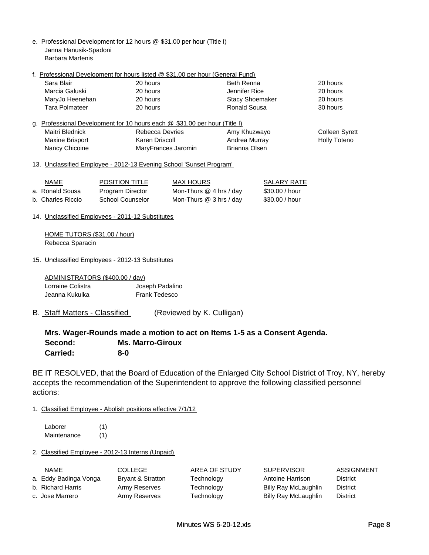- e. Professional Development for 12 hours @ \$31.00 per hour (Title I) Janna Hanusik-Spadoni Barbara Martenis
- f. Professional Development for hours listed @ \$31.00 per hour (General Fund)

| Sara Blair      | 20 hours | Beth Renna             | 20 hours |
|-----------------|----------|------------------------|----------|
| Marcia Galuski  | 20 hours | Jennifer Rice          | 20 hours |
| MaryJo Heenehan | 20 hours | <b>Stacy Shoemaker</b> | 20 hours |
| Tara Polmateer  | 20 hours | Ronald Sousa           | 30 hours |

|                        | g. Professional Development for 10 hours each @ \$31.00 per hour (Title I) |               |                |
|------------------------|----------------------------------------------------------------------------|---------------|----------------|
| Maitri Blednick        | Rebecca Devries                                                            | Amy Khuzwayo  | Colleen Syrett |
| <b>Maxine Brisport</b> | Karen Driscoll                                                             | Andrea Murray | Holly Toteno   |
| Nancy Chicoine         | MaryFrances Jaromin                                                        | Brianna Olsen |                |

13. Unclassified Employee - 2012-13 Evening School 'Sunset Program'

| NAME              | <b>POSITION TITLE</b> | MAX HOURS                 | SALARY RATE    |
|-------------------|-----------------------|---------------------------|----------------|
| a. Ronald Sousa   | Program Director      | Mon-Thurs $@$ 4 hrs / day | \$30.00 / hour |
| b. Charles Riccio | School Counselor      | Mon-Thurs $@3$ hrs / day  | \$30.00 / hour |

14. Unclassified Employees - 2011-12 Substitutes

HOME TUTORS (\$31.00 / hour) Rebecca Sparacin

15. Unclassified Employees - 2012-13 Substitutes

ADMINISTRATORS (\$400.00 / day) Lorraine Colistra Joseph Padalino Jeanna Kukulka Frank Tedesco

B. Staff Matters - Classified (Reviewed by K. Culligan)

**Mrs. Wager-Rounds made a motion to act on Items 1-5 as a Consent Agenda. Second: Ms. Marro-Giroux Carried: 8-0**

BE IT RESOLVED, that the Board of Education of the Enlarged City School District of Troy, NY, hereby accepts the recommendation of the Superintendent to approve the following classified personnel actions:

1. Classified Employee - Abolish positions effective 7/1/12

Laborer (1) Maintenance (1)

2. Classified Employee - 2012-13 Interns (Unpaid)

| NAME                  | <b>COLLEGE</b>    | AREA OF STUDY | <b>SUPERVISOR</b>    | ASSIGNMENT      |
|-----------------------|-------------------|---------------|----------------------|-----------------|
| a. Eddy Badinga Vonga | Bryant & Stratton | Technology    | Antoine Harrison     | District        |
| b. Richard Harris     | Army Reserves     | Technology    | Billy Ray McLaughlin | District        |
| c. Jose Marrero       | Army Reserves     | Technology    | Billy Ray McLaughlin | <b>District</b> |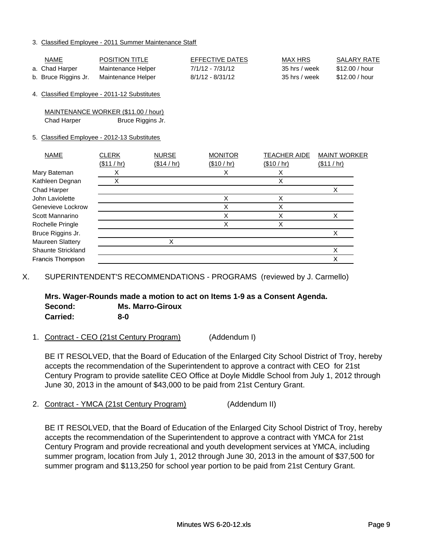3. Classified Employee - 2011 Summer Maintenance Staff

| NAME                 | <b>POSITION TITLE</b> | EFFECTIVE DATES    | MAX HRS       | SALARY RATE    |
|----------------------|-----------------------|--------------------|---------------|----------------|
| a.  Chad Harper      | Maintenance Helper    | 7/1/12 - 7/31/12   | 35 hrs / week | \$12.00 / hour |
| b. Bruce Riggins Jr. | Maintenance Helper    | $8/1/12 - 8/31/12$ | 35 hrs / week | \$12.00 / hour |

4. Classified Employee - 2011-12 Substitutes

|             | MAINTENANCE WORKER (\$11.00 / hour) |
|-------------|-------------------------------------|
| Chad Harper | Bruce Riggins Jr.                   |

#### 5. Classified Employee - 2012-13 Substitutes

| <b>NAME</b>               | <b>CLERK</b> | <b>NURSE</b> | <b>MONITOR</b> | <b>TEACHER AIDE</b> | <b>MAINT WORKER</b> |
|---------------------------|--------------|--------------|----------------|---------------------|---------------------|
|                           | (\$11 / hr)  | (\$14 / hr)  | (\$10 / hr)    | (\$10 / hr)         | (\$11 / hr)         |
| Mary Bateman              | Х            |              |                |                     |                     |
| Kathleen Degnan           | Х            |              |                | х                   |                     |
| Chad Harper               |              |              |                |                     | Χ                   |
| John Laviolette           |              |              | Χ              | х                   |                     |
| Genevieve Lockrow         |              |              |                | х                   |                     |
| Scott Mannarino           |              |              | х              |                     |                     |
| Rochelle Pringle          |              |              | X              |                     |                     |
| Bruce Riggins Jr.         |              |              |                |                     | X                   |
| Maureen Slattery          |              | x            |                |                     |                     |
| <b>Shaunte Strickland</b> |              |              |                |                     |                     |
| Francis Thompson          |              |              |                |                     | Х                   |
|                           |              |              |                |                     |                     |

X. SUPERINTENDENT'S RECOMMENDATIONS - PROGRAMS (reviewed by J. Carmello)

#### **Mrs. Wager-Rounds made a motion to act on Items 1-9 as a Consent Agenda. Second: Ms. Marro-Giroux Carried: 8-0**

## 1. Contract - CEO (21st Century Program) (Addendum I)

BE IT RESOLVED, that the Board of Education of the Enlarged City School District of Troy, hereby accepts the recommendation of the Superintendent to approve a contract with CEO for 21st Century Program to provide satellite CEO Office at Doyle Middle School from July 1, 2012 through June 30, 2013 in the amount of \$43,000 to be paid from 21st Century Grant.

2. Contract - YMCA (21st Century Program) (Addendum II)

BE IT RESOLVED, that the Board of Education of the Enlarged City School District of Troy, hereby accepts the recommendation of the Superintendent to approve a contract with YMCA for 21st Century Program and provide recreational and youth development services at YMCA, including summer program, location from July 1, 2012 through June 30, 2013 in the amount of \$37,500 for summer program and \$113,250 for school year portion to be paid from 21st Century Grant.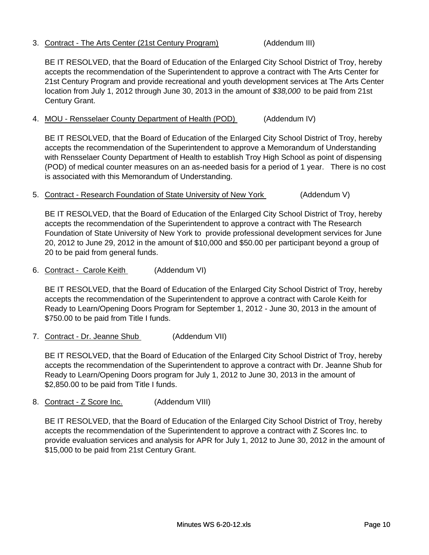## 3. Contract - The Arts Center (21st Century Program) (Addendum III)

BE IT RESOLVED, that the Board of Education of the Enlarged City School District of Troy, hereby accepts the recommendation of the Superintendent to approve a contract with The Arts Center for 21st Century Program and provide recreational and youth development services at The Arts Center location from July 1, 2012 through June 30, 2013 in the amount of *\$38,000* to be paid from 21st Century Grant.

## 4. MOU - Rensselaer County Department of Health (POD) (Addendum IV)

BE IT RESOLVED, that the Board of Education of the Enlarged City School District of Troy, hereby accepts the recommendation of the Superintendent to approve a Memorandum of Understanding with Rensselaer County Department of Health to establish Troy High School as point of dispensing (POD) of medical counter measures on an as-needed basis for a period of 1 year. There is no cost is associated with this Memorandum of Understanding.

## 5. Contract - Research Foundation of State University of New York (Addendum V)

BE IT RESOLVED, that the Board of Education of the Enlarged City School District of Troy, hereby accepts the recommendation of the Superintendent to approve a contract with The Research Foundation of State University of New York to provide professional development services for June 20, 2012 to June 29, 2012 in the amount of \$10,000 and \$50.00 per participant beyond a group of 20 to be paid from general funds.

## 6. Contract - Carole Keith (Addendum VI)

BE IT RESOLVED, that the Board of Education of the Enlarged City School District of Troy, hereby accepts the recommendation of the Superintendent to approve a contract with Carole Keith for Ready to Learn/Opening Doors Program for September 1, 2012 - June 30, 2013 in the amount of \$750.00 to be paid from Title I funds.

7. Contract - Dr. Jeanne Shub (Addendum VII)

BE IT RESOLVED, that the Board of Education of the Enlarged City School District of Troy, hereby accepts the recommendation of the Superintendent to approve a contract with Dr. Jeanne Shub for Ready to Learn/Opening Doors program for July 1, 2012 to June 30, 2013 in the amount of \$2,850.00 to be paid from Title I funds.

8. Contract - Z Score Inc. (Addendum VIII)

BE IT RESOLVED, that the Board of Education of the Enlarged City School District of Troy, hereby accepts the recommendation of the Superintendent to approve a contract with Z Scores Inc. to provide evaluation services and analysis for APR for July 1, 2012 to June 30, 2012 in the amount of \$15,000 to be paid from 21st Century Grant.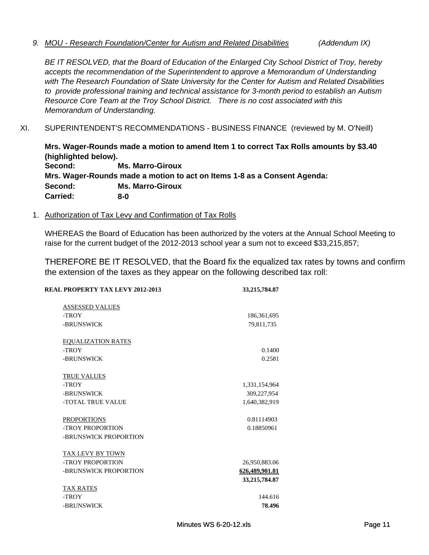#### *9. MOU - Research Foundation/Center for Autism and Related Disabilities (Addendum IX)*

*BE IT RESOLVED, that the Board of Education of the Enlarged City School District of Troy, hereby accepts the recommendation of the Superintendent to approve a Memorandum of Understanding with The Research Foundation of State University for the Center for Autism and Related Disabilities to provide professional training and technical assistance for 3-month period to establish an Autism Resource Core Team at the Troy School District. There is no cost associated with this Memorandum of Understanding.*

XI. SUPERINTENDENT'S RECOMMENDATIONS - BUSINESS FINANCE (reviewed by M. O'Neill)

**Mrs. Wager-Rounds made a motion to amend Item 1 to correct Tax Rolls amounts by \$3.40 (highlighted below).**

**Second: Ms. Marro-Giroux Mrs. Wager-Rounds made a motion to act on Items 1-8 as a Consent Agenda: Second: Ms. Marro-Giroux Carried: 8-0**

#### 1. Authorization of Tax Levy and Confirmation of Tax Rolls

WHEREAS the Board of Education has been authorized by the voters at the Annual School Meeting to raise for the current budget of the 2012-2013 school year a sum not to exceed \$33,215,857;

THEREFORE BE IT RESOLVED, that the Board fix the equalized tax rates by towns and confirm the extension of the taxes as they appear on the following described tax roll:

| <b>REAL PROPERTY TAX LEVY 2012-2013</b> | 33,215,784.87  |
|-----------------------------------------|----------------|
| <b>ASSESSED VALUES</b>                  |                |
| -TROY                                   | 186, 361, 695  |
| -BRUNSWICK                              | 79,811,735     |
| <b>EQUALIZATION RATES</b>               |                |
| -TROY                                   | 0.1400         |
| -BRUNSWICK                              | 0.2581         |
| <b>TRUE VALUES</b>                      |                |
| -TROY                                   | 1,331,154,964  |
| -BRUNSWICK                              | 309,227,954    |
| -TOTAL TRUE VALUE                       | 1,640,382,919  |
| <b>PROPORTIONS</b>                      | 0.81114903     |
| -TROY PROPORTION                        | 0.18850961     |
| -BRUNSWICK PROPORTION                   |                |
| TAX LEVY BY TOWN                        |                |
| -TROY PROPORTION                        | 26,950,883.06  |
| -BRUNSWICK PROPORTION                   | 626,489,901.81 |
|                                         | 33,215,784.87  |
| <b>TAX RATES</b>                        |                |
| -TROY                                   | 144.616        |
| -BRUNSWICK                              | 78.496         |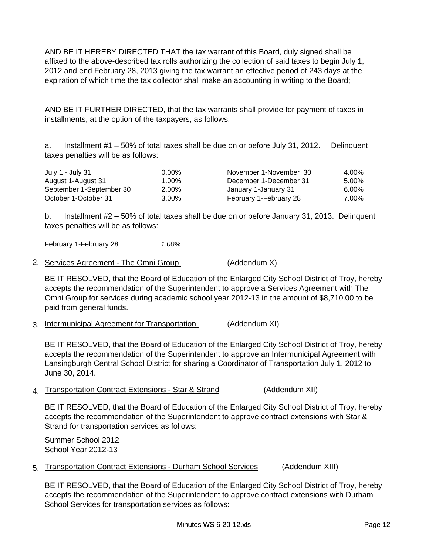AND BE IT HEREBY DIRECTED THAT the tax warrant of this Board, duly signed shall be affixed to the above-described tax rolls authorizing the collection of said taxes to begin July 1, 2012 and end February 28, 2013 giving the tax warrant an effective period of 243 days at the expiration of which time the tax collector shall make an accounting in writing to the Board;

AND BE IT FURTHER DIRECTED, that the tax warrants shall provide for payment of taxes in installments, at the option of the taxpayers, as follows:

a. Installment #1 – 50% of total taxes shall be due on or before July 31, 2012. Delinquent taxes penalties will be as follows:

| July 1 - July 31         | $0.00\%$ | November 1-November 30 | 4.00%    |
|--------------------------|----------|------------------------|----------|
| August 1-August 31       | 1.00%    | December 1-December 31 | 5.00%    |
| September 1-September 30 | 2.00%    | January 1-January 31   | $6.00\%$ |
| October 1-October 31     | 3.00%    | February 1-February 28 | 7.00%    |

b. Installment #2 – 50% of total taxes shall be due on or before January 31, 2013. Delinquent taxes penalties will be as follows:

February 1-February 28 *1.00%*

2. Services Agreement - The Omni Group (Addendum X)

2. Services Agreement - The Omni Group (Addendum X)<br>
BE IT RESOLVED, that the Board of Education of the Enlarged City<br>
accepts the recommendation of the Superintendent to approve a Ser<br>
Omni Group for services during acade BE IT RESOLVED, that the Board of Education of the Enlarged City School District of Troy, hereby accepts the recommendation of the Superintendent to approve a Services Agreement with The Omni Group for services during academic school year 2012-13 in the amount of \$8,710.00 to be paid from general funds.

BE IT RESOLVED, that the Board of Education of the Enlarged City School District of Troy, hereby accepts the recommendation of the Superintendent to approve an Intermunicipal Agreement with Lansingburgh Central School District for sharing a Coordinator of Transportation July 1, 2012 to June 30, 2014.

4. Transportation Contract Extensions - Star & Strand (Addendum XII)

BE IT RESOLVED, that the Board of Education of the Enlarged City School District of Troy, hereby accepts the recommendation of the Superintendent to approve contract extensions with Star & Strand for transportation services as follows:

Summer School 2012 School Year 2012-13

5. Transportation Contract Extensions - Durham School Services (Addendum XIII)

BE IT RESOLVED, that the Board of Education of the Enlarged City School District of Troy, hereby accepts the recommendation of the Superintendent to approve contract extensions with Durham School Services for transportation services as follows: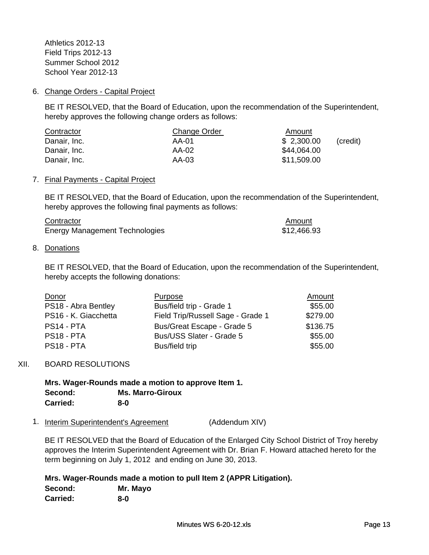Athletics 2012-13 Field Trips 2012-13 Summer School 2012 School Year 2012-13

#### 6. Change Orders - Capital Project

BE IT RESOLVED, that the Board of Education, upon the recommendation of the Superintendent, hereby approves the following change orders as follows:

| Contractor   | Change Order | Amount      |          |
|--------------|--------------|-------------|----------|
| Danair, Inc. | AA-01        | \$2,300.00  | (credit) |
| Danair, Inc. | AA-02        | \$44,064.00 |          |
| Danair, Inc. | AA-03        | \$11,509.00 |          |

#### 7. Final Payments - Capital Project

BE IT RESOLVED, that the Board of Education, upon the recommendation of the Superintendent, hereby approves the following final payments as follows:

| Contractor                            | Amount      |
|---------------------------------------|-------------|
| <b>Energy Management Technologies</b> | \$12,466.93 |

#### 8. Donations

BE IT RESOLVED, that the Board of Education, upon the recommendation of the Superintendent, hereby accepts the following donations:

| Donor                | Purpose                           | <b>Amount</b> |
|----------------------|-----------------------------------|---------------|
| PS18 - Abra Bentley  | Bus/field trip - Grade 1          | \$55.00       |
| PS16 - K. Giacchetta | Field Trip/Russell Sage - Grade 1 | \$279.00      |
| PS14 - PTA           | <b>Bus/Great Escape - Grade 5</b> | \$136.75      |
| PS18 - PTA           | Bus/USS Slater - Grade 5          | \$55.00       |
| PS18 - PTA           | Bus/field trip                    | \$55.00       |

#### XII. BOARD RESOLUTIONS

**Mrs. Wager-Rounds made a motion to approve Item 1. Second: Ms. Marro-Giroux Carried: 8-0**

1. Interim Superintendent's Agreement (Addendum XIV)

BE IT RESOLVED that the Board of Education of the Enlarged City School District of Troy hereby approves the Interim Superintendent Agreement with Dr. Brian F. Howard attached hereto for the term beginning on July 1, 2012 and ending on June 30, 2013.

**Mrs. Wager-Rounds made a motion to pull Item 2 (APPR Litigation). Second: Mr. Mayo Carried: 8-0**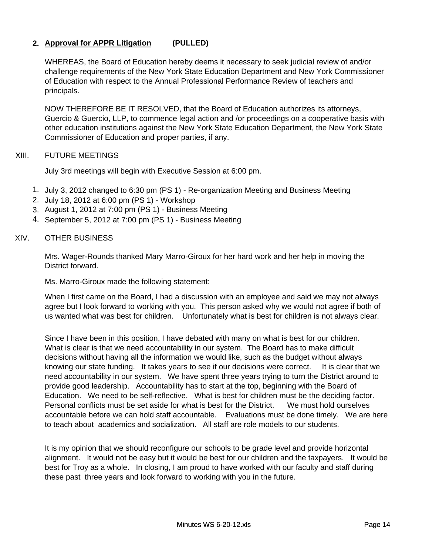## **2. Approval for APPR Litigation (PULLED)**

WHEREAS, the Board of Education hereby deems it necessary to seek judicial review of and/or challenge requirements of the New York State Education Department and New York Commissioner of Education with respect to the Annual Professional Performance Review of teachers and principals.

NOW THEREFORE BE IT RESOLVED, that the Board of Education authorizes its attorneys, Guercio & Guercio, LLP, to commence legal action and /or proceedings on a cooperative basis with other education institutions against the New York State Education Department, the New York State Commissioner of Education and proper parties, if any.

#### XIII. FUTURE MEETINGS

July 3rd meetings will begin with Executive Session at 6:00 pm.

- 1. July 3, 2012 changed to 6:30 pm (PS 1) Re-organization Meeting and Business Meeting
- 2. July 18, 2012 at 6:00 pm (PS 1) Workshop
- 3. August 1, 2012 at 7:00 pm (PS 1) Business Meeting
- 4. September 5, 2012 at 7:00 pm (PS 1) Business Meeting

#### XIV. OTHER BUSINESS

Mrs. Wager-Rounds thanked Mary Marro-Giroux for her hard work and her help in moving the Mrs. Wager Rounds thanked Mary Marro Giroux for her hard work and her help in moving the District forward.

Ms. Marro-Giroux made the following statement:

When I first came on the Board, I had a discussion with an employee and said we may not always agree but I look forward to working with you. This person asked why we would not agree if both of us wanted what was best for children. Unfortunately what is best for children is not always clear.

Since I have been in this position, I have debated with many on what is best for our children. What is clear is that we need accountability in our system. The Board has to make difficult decisions without having all the information we would like, such as the budget without always knowing our state funding. It takes years to see if our decisions were correct. It is clear that we need accountability in our system. We have spent three years trying to turn the District around to provide good leadership. Accountability has to start at the top, beginning with the Board of Education. We need to be self-reflective. What is best for children must be the deciding factor. Personal conflicts must be set aside for what is best for the District. We must hold ourselves accountable before we can hold staff accountable. Evaluations must be done timely. We are here to teach about academics and socialization. All staff are role models to our students.

It is my opinion that we should reconfigure our schools to be grade level and provide horizontal alignment. It would not be easy but it would be best for our children and the taxpayers. It would be best for Troy as a whole. In closing, I am proud to have worked with our faculty and staff during these past three years and look forward to working with you in the future.